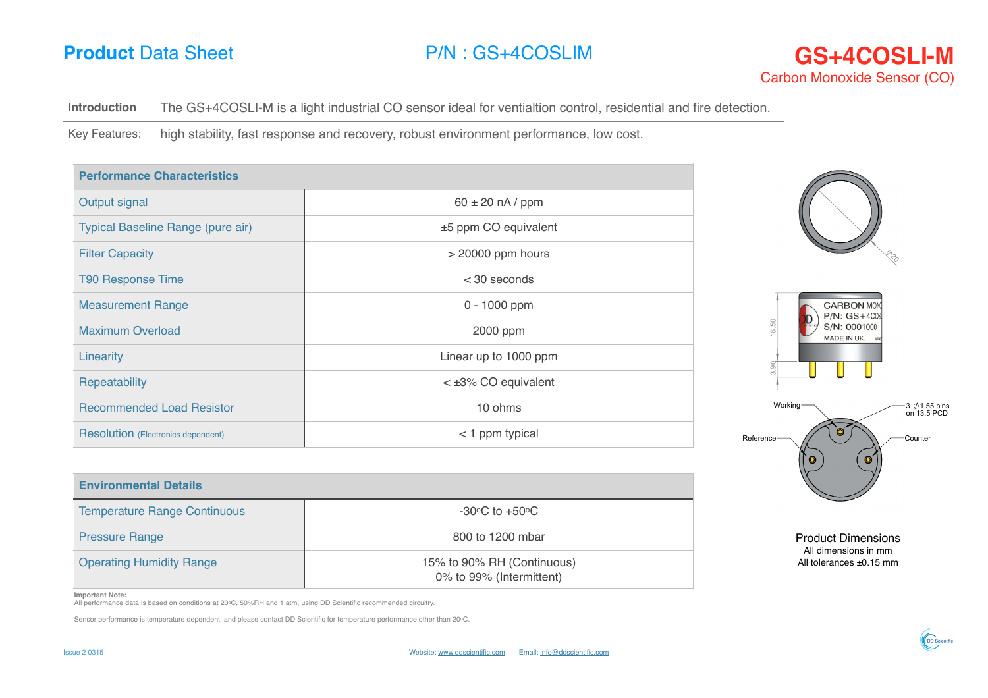

**Introduction** The GS+4COSLI-M is a light industrial CO sensor ideal for ventialtion control, residential and fire detection.

Key Features: high stability, fast response and recovery, robust environment performance, low cost.

| <b>Performance Characteristics</b> |                         |                                           |
|------------------------------------|-------------------------|-------------------------------------------|
| Output signal                      | $60 \pm 20$ nA / ppm    |                                           |
| Typical Baseline Range (pure air)  | ±5 ppm CO equivalent    |                                           |
| <b>Filter Capacity</b>             | $>$ 20000 ppm hours     | $\mathbb{S}^{\mathcal{V}}$                |
| <b>T90 Response Time</b>           | $<$ 30 seconds          |                                           |
| <b>Measurement Range</b>           | 0 - 1000 ppm            | <b>CARBON MON</b><br>$P/N$ : $GS+4C0$     |
| <b>Maximum Overload</b>            | 2000 ppm                | 16.50<br>S/N: 0001000<br>MADE IN UK.      |
| Linearity                          | Linear up to 1000 ppm   | 3.90                                      |
| Repeatability                      | $\lt$ ±3% CO equivalent |                                           |
| <b>Recommended Load Resistor</b>   | 10 ohms                 | Working-<br>-3 ∅ 1.55 pins<br>on 13.5 PCD |
| Resolution (Electronics dependent) | < 1 ppm typical         | Reference-<br>Counter                     |
|                                    |                         |                                           |

| <b>Environmental Details</b>        |                                                        |  |
|-------------------------------------|--------------------------------------------------------|--|
| <b>Temperature Range Continuous</b> | $-30^{\circ}$ C to $+50^{\circ}$ C                     |  |
| <b>Pressure Range</b>               | 800 to 1200 mbar                                       |  |
| <b>Operating Humidity Range</b>     | 15% to 90% RH (Continuous)<br>0% to 99% (Intermittent) |  |

Product Dimensions All dimensions in mm All tolerances ±0.15 mm

## **Important Note:**

All performance data is based on conditions at 20oC, 50%RH and 1 atm, using DD Scientific recommended circuitry.

Sensor performance is temperature dependent, and please contact DD Scientific for temperature performance other than 20oC.